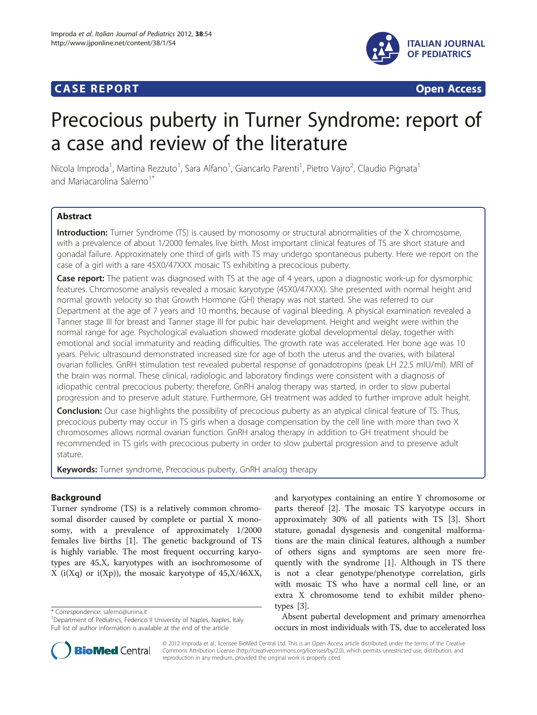## **CASE REPORT CASE REPORT CASE REPORT**



# Precocious puberty in Turner Syndrome: report of a case and review of the literature

Nicola Improda<sup>1</sup>, Martina Rezzuto<sup>1</sup>, Sara Alfano<sup>1</sup>, Giancarlo Parenti<sup>1</sup>, Pietro Vajro<sup>2</sup>, Claudio Pignata<sup>1</sup> and Mariacarolina Salerno<sup>1\*</sup>

## **Abstract**

**Introduction:** Turner Syndrome (TS) is caused by monosomy or structural abnormalities of the X chromosome, with a prevalence of about 1/2000 females live birth. Most important clinical features of TS are short stature and gonadal failure. Approximately one third of girls with TS may undergo spontaneous puberty. Here we report on the case of a girl with a rare 45X0/47XXX mosaic TS exhibiting a precocious puberty.

**Case report:** The patient was diagnosed with TS at the age of 4 years, upon a diagnostic work-up for dysmorphic features. Chromosome analysis revealed a mosaic karyotype (45X0/47XXX). She presented with normal height and normal growth velocity so that Growth Hormone (GH) therapy was not started. She was referred to our Department at the age of 7 years and 10 months, because of vaginal bleeding. A physical examination revealed a Tanner stage III for breast and Tanner stage III for pubic hair development. Height and weight were within the normal range for age. Psychological evaluation showed moderate global developmental delay, together with emotional and social immaturity and reading difficulties. The growth rate was accelerated. Her bone age was 10 years. Pelvic ultrasound demonstrated increased size for age of both the uterus and the ovaries, with bilateral ovarian follicles. GnRH stimulation test revealed pubertal response of gonadotropins (peak LH 22.5 mIU/ml). MRI of the brain was normal. These clinical, radiologic and laboratory findings were consistent with a diagnosis of idiopathic central precocious puberty; therefore, GnRH analog therapy was started, in order to slow pubertal progression and to preserve adult stature. Furthermore, GH treatment was added to further improve adult height.

Conclusion: Our case highlights the possibility of precocious puberty as an atypical clinical feature of TS. Thus, precocious puberty may occur in TS girls when a dosage compensation by the cell line with more than two X chromosomes allows normal ovarian function. GnRH analog therapy in addition to GH treatment should be recommended in TS girls with precocious puberty in order to slow pubertal progression and to preserve adult stature.

Keywords: Turner syndrome, Precocious puberty, GnRH analog therapy

## Background

Turner syndrome (TS) is a relatively common chromosomal disorder caused by complete or partial X monosomy, with a prevalence of approximately 1/2000 females live births [[1\]](#page-3-0). The genetic background of TS is highly variable. The most frequent occurring karyotypes are 45,X, karyotypes with an isochromosome of X ( $i(Xq)$  or  $i(Xp)$ ), the mosaic karyotype of 45, $X/46XX$ ,

\* Correspondence: [salerno@unina.it](mailto:salerno@unina.it) <sup>1</sup>

and karyotypes containing an entire Y chromosome or parts thereof [\[2](#page-3-0)]. The mosaic TS karyotype occurs in approximately 30% of all patients with TS [\[3](#page-3-0)]. Short stature, gonadal dysgenesis and congenital malformations are the main clinical features, although a number of others signs and symptoms are seen more frequently with the syndrome [\[1](#page-3-0)]. Although in TS there is not a clear genotype/phenotype correlation, girls with mosaic TS who have a normal cell line, or an extra X chromosome tend to exhibit milder phenotypes [[3\]](#page-3-0).

Absent pubertal development and primary amenorrhea occurs in most individuals with TS, due to accelerated loss



© 2012 Improda et al.; licensee BioMed Central Ltd. This is an Open Access article distributed under the terms of the Creative Commons Attribution License [\(http://creativecommons.org/licenses/by/2.0\)](http://creativecommons.org/licenses/by/2.0), which permits unrestricted use, distribution, and reproduction in any medium, provided the original work is properly cited.

<sup>&</sup>lt;sup>1</sup>Department of Pediatrics, Federico II University of Naples, Naples, Italy Full list of author information is available at the end of the article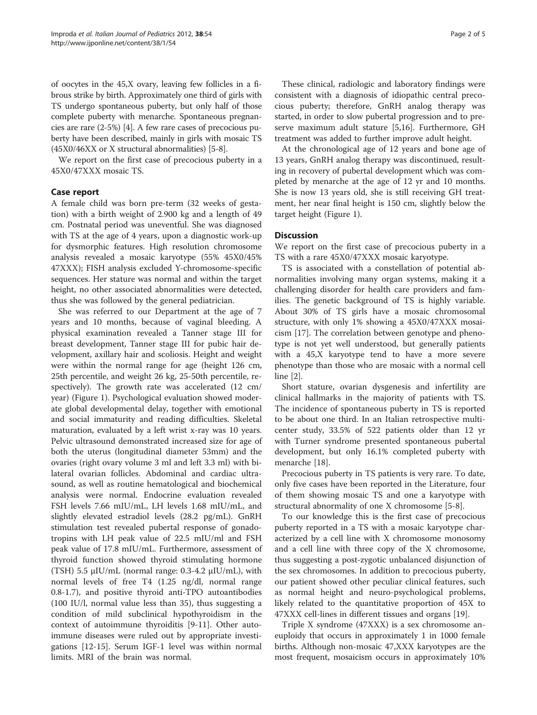of oocytes in the 45,X ovary, leaving few follicles in a fibrous strike by birth. Approximately one third of girls with TS undergo spontaneous puberty, but only half of those complete puberty with menarche. Spontaneous pregnancies are rare (2-5%) [[4](#page-3-0)]. A few rare cases of precocious puberty have been described, mainly in girls with mosaic TS (45X0/46XX or X structural abnormalities) [\[5](#page-3-0)-[8](#page-3-0)].

We report on the first case of precocious puberty in a 45X0/47XXX mosaic TS.

## Case report

A female child was born pre-term (32 weeks of gestation) with a birth weight of 2.900 kg and a length of 49 cm. Postnatal period was uneventful. She was diagnosed with TS at the age of 4 years, upon a diagnostic work-up for dysmorphic features. High resolution chromosome analysis revealed a mosaic karyotype (55% 45X0/45% 47XXX); FISH analysis excluded Y-chromosome-specific sequences. Her stature was normal and within the target height, no other associated abnormalities were detected, thus she was followed by the general pediatrician.

She was referred to our Department at the age of 7 years and 10 months, because of vaginal bleeding. A physical examination revealed a Tanner stage III for breast development, Tanner stage III for pubic hair development, axillary hair and scoliosis. Height and weight were within the normal range for age (height 126 cm, 25th percentile, and weight 26 kg, 25-50th percentile, respectively). The growth rate was accelerated (12 cm/ year) (Figure [1](#page-2-0)). Psychological evaluation showed moderate global developmental delay, together with emotional and social immaturity and reading difficulties. Skeletal maturation, evaluated by a left wrist x-ray was 10 years. Pelvic ultrasound demonstrated increased size for age of both the uterus (longitudinal diameter 53mm) and the ovaries (right ovary volume 3 ml and left 3.3 ml) with bilateral ovarian follicles. Abdominal and cardiac ultrasound, as well as routine hematological and biochemical analysis were normal. Endocrine evaluation revealed FSH levels 7.66 mIU/mL, LH levels 1.68 mIU/mL, and slightly elevated estradiol levels (28.2 pg/mL). GnRH stimulation test revealed pubertal response of gonadotropins with LH peak value of 22.5 mIU/ml and FSH peak value of 17.8 mIU/mL. Furthermore, assessment of thyroid function showed thyroid stimulating hormone (TSH) 5.5  $\mu$ IU/mL (normal range: 0.3-4.2  $\mu$ IU/mL), with normal levels of free T4 (1.25 ng/dl, normal range 0.8-1.7), and positive thyroid anti-TPO autoantibodies (100 IU/l, normal value less than 35), thus suggesting a condition of mild subclinical hypothyroidism in the context of autoimmune thyroiditis [\[9](#page-3-0)-[11\]](#page-4-0). Other autoimmune diseases were ruled out by appropriate investigations [[12-15\]](#page-4-0). Serum IGF-1 level was within normal limits. MRI of the brain was normal.

These clinical, radiologic and laboratory findings were consistent with a diagnosis of idiopathic central precocious puberty; therefore, GnRH analog therapy was started, in order to slow pubertal progression and to preserve maximum adult stature [[5,](#page-3-0)[16\]](#page-4-0). Furthermore, GH treatment was added to further improve adult height.

At the chronological age of 12 years and bone age of 13 years, GnRH analog therapy was discontinued, resulting in recovery of pubertal development which was completed by menarche at the age of 12 yr and 10 months. She is now 13 years old, she is still receiving GH treatment, her near final height is 150 cm, slightly below the target height (Figure [1](#page-2-0)).

## **Discussion**

We report on the first case of precocious puberty in a TS with a rare 45X0/47XXX mosaic karyotype.

TS is associated with a constellation of potential abnormalities involving many organ systems, making it a challenging disorder for health care providers and families. The genetic background of TS is highly variable. About 30% of TS girls have a mosaic chromosomal structure, with only 1% showing a 45X0/47XXX mosaicism [[17\]](#page-4-0). The correlation between genotype and phenotype is not yet well understood, but generally patients with a 45,X karyotype tend to have a more severe phenotype than those who are mosaic with a normal cell line [[2\]](#page-3-0).

Short stature, ovarian dysgenesis and infertility are clinical hallmarks in the majority of patients with TS. The incidence of spontaneous puberty in TS is reported to be about one third. In an Italian retrospective multicenter study, 33.5% of 522 patients older than 12 yr with Turner syndrome presented spontaneous pubertal development, but only 16.1% completed puberty with menarche [\[18](#page-4-0)].

Precocious puberty in TS patients is very rare. To date, only five cases have been reported in the Literature, four of them showing mosaic TS and one a karyotype with structural abnormality of one X chromosome [[5-8](#page-3-0)].

To our knowledge this is the first case of precocious puberty reported in a TS with a mosaic karyotype characterized by a cell line with X chromosome monosomy and a cell line with three copy of the X chromosome, thus suggesting a post-zygotic unbalanced disjunction of the sex chromosomes. In addition to precocious puberty, our patient showed other peculiar clinical features, such as normal height and neuro-psychological problems, likely related to the quantitative proportion of 45X to 47XXX cell-lines in different tissues and organs [\[19\]](#page-4-0).

Triple X syndrome (47XXX) is a sex chromosome aneuploidy that occurs in approximately 1 in 1000 female births. Although non-mosaic 47,XXX karyotypes are the most frequent, mosaicism occurs in approximately 10%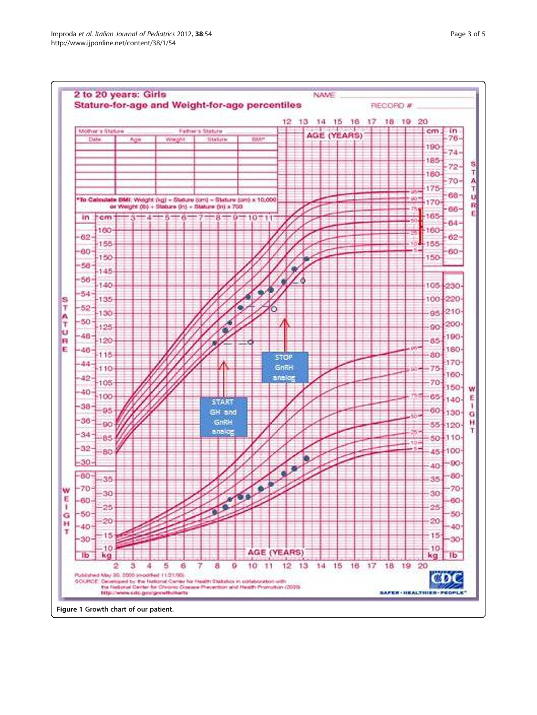<span id="page-2-0"></span>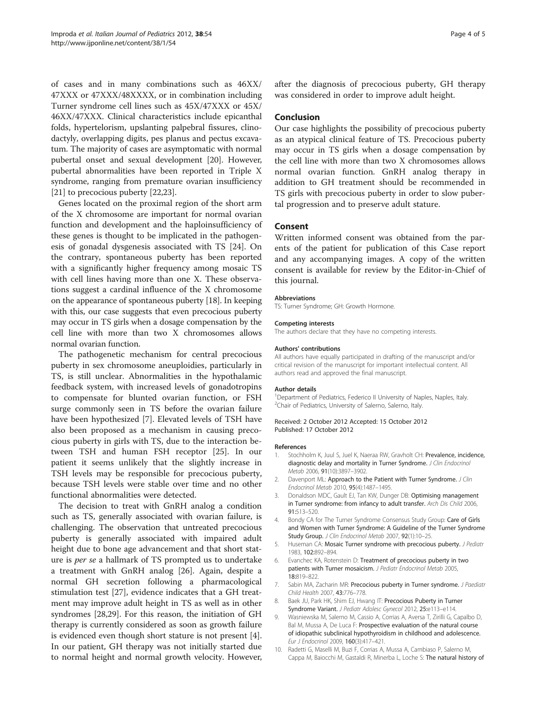<span id="page-3-0"></span>of cases and in many combinations such as 46XX/ 47XXX or 47XXX/48XXXX, or in combination including Turner syndrome cell lines such as 45X/47XXX or 45X/ 46XX/47XXX. Clinical characteristics include epicanthal folds, hypertelorism, upslanting palpebral fissures, clinodactyly, overlapping digits, pes planus and pectus excavatum. The majority of cases are asymptomatic with normal pubertal onset and sexual development [[20](#page-4-0)]. However, pubertal abnormalities have been reported in Triple X syndrome, ranging from premature ovarian insufficiency [[21\]](#page-4-0) to precocious puberty [\[22,23\]](#page-4-0).

Genes located on the proximal region of the short arm of the X chromosome are important for normal ovarian function and development and the haploinsufficiency of these genes is thought to be implicated in the pathogenesis of gonadal dysgenesis associated with TS [[24\]](#page-4-0). On the contrary, spontaneous puberty has been reported with a significantly higher frequency among mosaic TS with cell lines having more than one X. These observations suggest a cardinal influence of the X chromosome on the appearance of spontaneous puberty [\[18\]](#page-4-0). In keeping with this, our case suggests that even precocious puberty may occur in TS girls when a dosage compensation by the cell line with more than two X chromosomes allows normal ovarian function.

The pathogenetic mechanism for central precocious puberty in sex chromosome aneuploidies, particularly in TS, is still unclear. Abnormalities in the hypothalamic feedback system, with increased levels of gonadotropins to compensate for blunted ovarian function, or FSH surge commonly seen in TS before the ovarian failure have been hypothesized [7]. Elevated levels of TSH have also been proposed as a mechanism in causing precocious puberty in girls with TS, due to the interaction between TSH and human FSH receptor [\[25\]](#page-4-0). In our patient it seems unlikely that the slightly increase in TSH levels may be responsible for precocious puberty, because TSH levels were stable over time and no other functional abnormalities were detected.

The decision to treat with GnRH analog a condition such as TS, generally associated with ovarian failure, is challenging. The observation that untreated precocious puberty is generally associated with impaired adult height due to bone age advancement and that short stature is per se a hallmark of TS prompted us to undertake a treatment with GnRH analog [[26\]](#page-4-0). Again, despite a normal GH secretion following a pharmacological stimulation test [\[27\]](#page-4-0), evidence indicates that a GH treatment may improve adult height in TS as well as in other syndromes [\[28,29](#page-4-0)]. For this reason, the initiation of GH therapy is currently considered as soon as growth failure is evidenced even though short stature is not present [4]. In our patient, GH therapy was not initially started due to normal height and normal growth velocity. However, after the diagnosis of precocious puberty, GH therapy was considered in order to improve adult height.

## Conclusion

Our case highlights the possibility of precocious puberty as an atypical clinical feature of TS. Precocious puberty may occur in TS girls when a dosage compensation by the cell line with more than two X chromosomes allows normal ovarian function. GnRH analog therapy in addition to GH treatment should be recommended in TS girls with precocious puberty in order to slow pubertal progression and to preserve adult stature.

## Consent

Written informed consent was obtained from the parents of the patient for publication of this Case report and any accompanying images. A copy of the written consent is available for review by the Editor-in-Chief of this journal.

#### Abbreviations

TS: Turner Syndrome; GH: Growth Hormone.

#### Competing interests

The authors declare that they have no competing interests.

#### Authors' contributions

All authors have equally participated in drafting of the manuscript and/or critical revision of the manuscript for important intellectual content. All authors read and approved the final manuscript.

#### Author details

<sup>1</sup> Department of Pediatrics, Federico II University of Naples, Naples, Italy. <sup>2</sup>Chair of Pediatrics, University of Salerno, Salerno, Italy.

#### Received: 2 October 2012 Accepted: 15 October 2012 Published: 17 October 2012

#### References

- 1. Stochholm K, Juul S, Juel K, Naeraa RW, Gravholt CH: Prevalence, incidence, diagnostic delay and mortality in Turner Syndrome. J Clin Endocrinol Metab 2006, 91(10):3897–3902.
- 2. Davenport ML: Approach to the Patient with Turner Syndrome. J Clin Endocrinol Metab 2010, 95(4):1487–1495.
- 3. Donaldson MDC, Gault EJ, Tan KW, Dunger DB: Optimising management in Turner syndrome: from infancy to adult transfer. Arch Dis Child 2006, 91:513–520.
- 4. Bondy CA for The Turner Syndrome Consensus Study Group: Care of Girls and Women with Turner Syndrome: A Guideline of the Turner Syndrome Study Group. J Clin Endocrinol Metab 2007, 92(1):10-25.
- 5. Huseman CA: Mosaic Turner syndrome with precocious puberty. J Pediatr 1983, 102:892–894.
- 6. Evanchec KA, Rotenstein D: Treatment of precocious puberty in two patients with Turner mosaicism. J Pediatr Endocrinol Metab 2005, 18:819–822.
- 7. Sabin MA, Zacharin MR: Precocious puberty in Turner syndrome. J Paediatr Child Health 2007, 43:776–778.
- 8. Baek JU, Park HK, Shim EJ, Hwang IT: Precocious Puberty in Turner Syndrome Variant. J Pediatr Adolesc Gynecol 2012, 25:e113–e114.
- 9. Wasniewska M, Salerno M, Cassio A, Corrias A, Aversa T, Zirilli G, Capalbo D, Bal M, Mussa A, De Luca F: Prospective evaluation of the natural course of idiopathic subclinical hypothyroidism in childhood and adolescence. Eur J Endocrinol 2009, 160(3):417–421.
- 10. Radetti G, Maselli M, Buzi F, Corrias A, Mussa A, Cambiaso P, Salerno M, Cappa M, Baiocchi M, Gastaldi R, Minerba L, Loche S: The natural history of